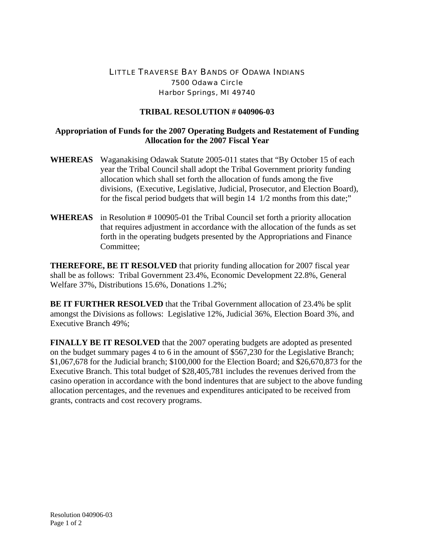## LITTLE TRAVERSE BAY BANDS OF ODAWA INDIANS 7500 Odawa Circle Harbor Springs, MI 49740

## **TRIBAL RESOLUTION # 040906-03**

## **Appropriation of Funds for the 2007 Operating Budgets and Restatement of Funding Allocation for the 2007 Fiscal Year**

- **WHEREAS** Waganakising Odawak Statute 2005-011 states that "By October 15 of each year the Tribal Council shall adopt the Tribal Government priority funding allocation which shall set forth the allocation of funds among the five divisions, (Executive, Legislative, Judicial, Prosecutor, and Election Board), for the fiscal period budgets that will begin 14 1/2 months from this date;"
- **WHEREAS** in Resolution # 100905-01 the Tribal Council set forth a priority allocation that requires adjustment in accordance with the allocation of the funds as set forth in the operating budgets presented by the Appropriations and Finance Committee;

**THEREFORE, BE IT RESOLVED** that priority funding allocation for 2007 fiscal year shall be as follows: Tribal Government 23.4%, Economic Development 22.8%, General Welfare 37%, Distributions 15.6%, Donations 1.2%;

**BE IT FURTHER RESOLVED** that the Tribal Government allocation of 23.4% be split amongst the Divisions as follows: Legislative 12%, Judicial 36%, Election Board 3%, and Executive Branch 49%;

**FINALLY BE IT RESOLVED** that the 2007 operating budgets are adopted as presented on the budget summary pages 4 to 6 in the amount of \$567,230 for the Legislative Branch; \$1,067,678 for the Judicial branch; \$100,000 for the Election Board; and \$26,670,873 for the Executive Branch. This total budget of \$28,405,781 includes the revenues derived from the casino operation in accordance with the bond indentures that are subject to the above funding allocation percentages, and the revenues and expenditures anticipated to be received from grants, contracts and cost recovery programs.